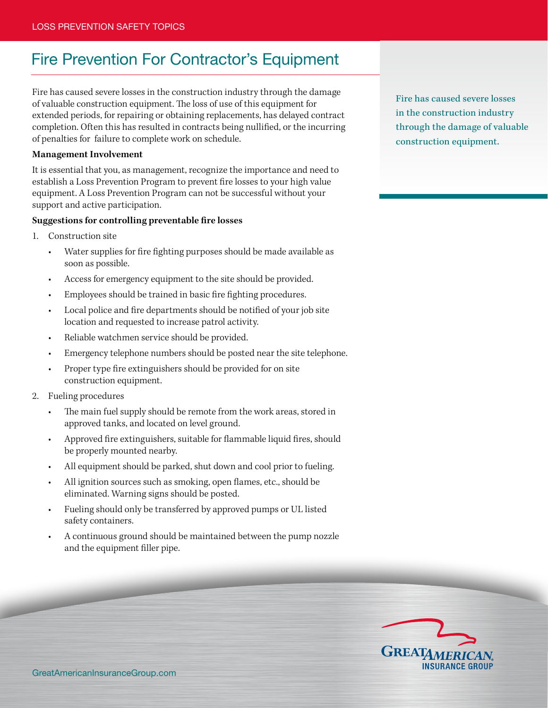## Fire Prevention For Contractor's Equipment

Fire has caused severe losses in the construction industry through the damage of valuable construction equipment. The loss of use of this equipment for extended periods, for repairing or obtaining replacements, has delayed contract completion. Often this has resulted in contracts being nullified, or the incurring of penalties for failure to complete work on schedule.

## **Management Involvement**

It is essential that you, as management, recognize the importance and need to establish a Loss Prevention Program to prevent fire losses to your high value equipment. A Loss Prevention Program can not be successful without your support and active participation.

## **Suggestions for controlling preventable fire losses**

- 1. Construction site
	- Water supplies for fire fighting purposes should be made available as soon as possible.
	- Access for emergency equipment to the site should be provided.
	- Employees should be trained in basic fire fighting procedures.
	- Local police and fire departments should be notified of your job site location and requested to increase patrol activity.
	- Reliable watchmen service should be provided.
	- Emergency telephone numbers should be posted near the site telephone.
	- Proper type fire extinguishers should be provided for on site construction equipment.
- 2. Fueling procedures
	- The main fuel supply should be remote from the work areas, stored in approved tanks, and located on level ground.
	- Approved fire extinguishers, suitable for flammable liquid fires, should be properly mounted nearby.
	- All equipment should be parked, shut down and cool prior to fueling.
	- All ignition sources such as smoking, open flames, etc., should be eliminated. Warning signs should be posted.
	- Fueling should only be transferred by approved pumps or UL listed safety containers.
	- A continuous ground should be maintained between the pump nozzle and the equipment filler pipe.

Fire has caused severe losses in the construction industry through the damage of valuable construction equipment.